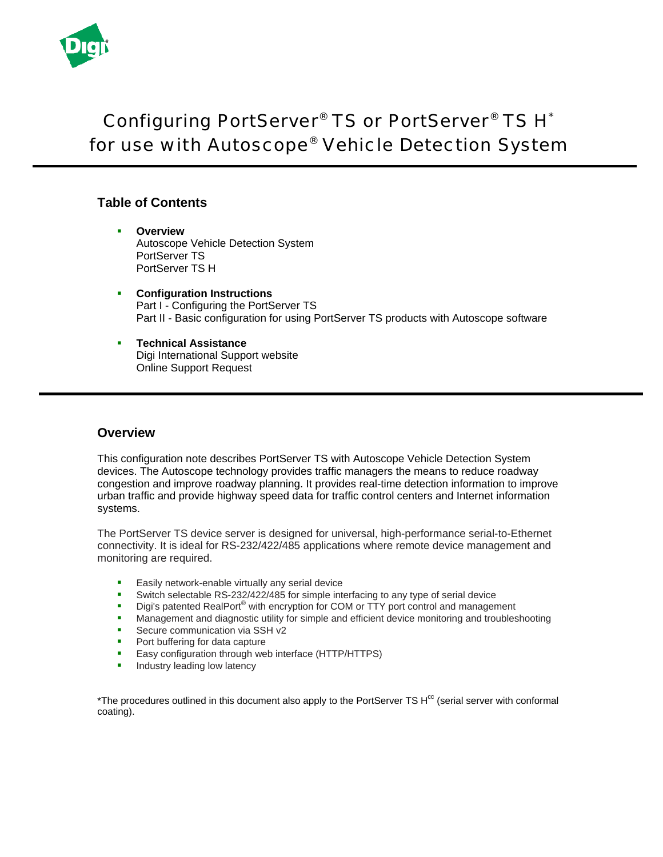

# Configuring PortServer® TS or PortServer® TS H\* for use with Autoscope® Vehicle Detection System

# **Table of Contents**

- **Overview** Autoscope Vehicle Detection System PortServer TS PortServer TS H
- **Configuration Instructions** Part I - Configuring the PortServer TS Part II - Basic configuration for using PortServer TS products with Autoscope software
- **Technical Assistance**  Digi International Support website Online Support Request

# **Overview**

This configuration note describes PortServer TS with Autoscope Vehicle Detection System devices. The Autoscope technology provides traffic managers the means to reduce roadway congestion and improve roadway planning. It provides real-time detection information to improve urban traffic and provide highway speed data for traffic control centers and Internet information systems.

The PortServer TS device server is designed for universal, high-performance serial-to-Ethernet connectivity. It is ideal for RS-232/422/485 applications where remote device management and monitoring are required.

- **Easily network-enable virtually any serial device**
- 
- Switch selectable RS-232/422/485 for simple interfacing to any type of serial device<br>Digits natented RealPort® with encryption for COM or TTY port control and managen Digi's patented RealPort® with encryption for COM or TTY port control and management
- **Management and diagnostic utility for simple and efficient device monitoring and troubleshooting**
- **Secure communication via SSH v2**
- **Port buffering for data capture**
- **Easy configuration through web interface (HTTP/HTTPS)**
- **Industry leading low latency**

\*The procedures outlined in this document also apply to the PortServer TS H<sup>cc</sup> (serial server with conformal coating).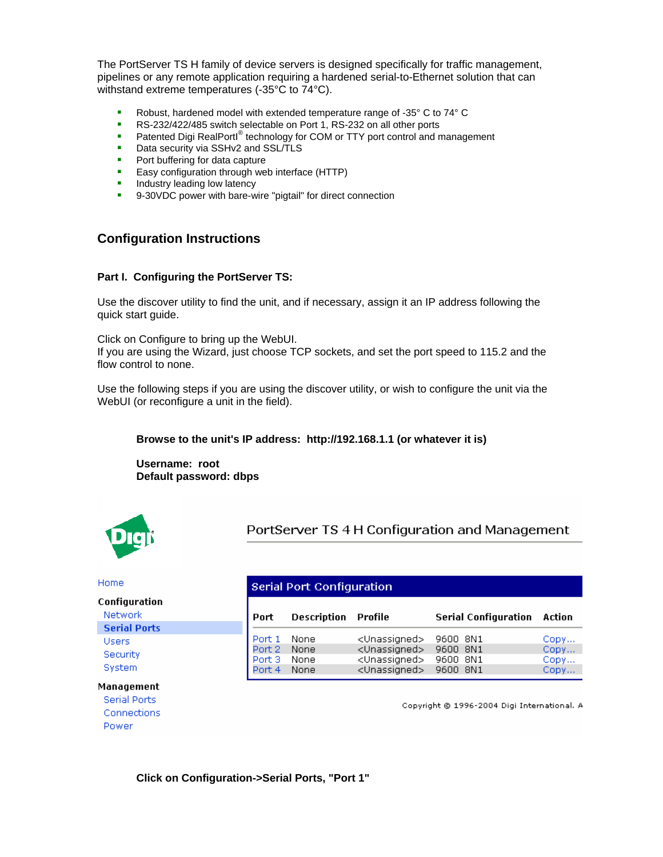The PortServer TS H family of device servers is designed specifically for traffic management, pipelines or any remote application requiring a hardened serial-to-Ethernet solution that can withstand extreme temperatures (-35°C to 74°C).

- Robust, hardened model with extended temperature range of -35° C to 74° C<br>RS-232/422/485 switch selectable on Port 1, RS-232 on all other ports
- RS-232/422/485 switch selectable on Port 1, RS-232 on all other ports
- **Patented Digi RealPortl® technology for COM or TTY port control and management**
- Data security via SSHv2 and SSL/TLS
- **Port buffering for data capture**
- **Easy configuration through web interface (HTTP)**
- **Industry leading low latency**
- 9-30VDC power with bare-wire "pigtail" for direct connection

# **Configuration Instructions**

## **Part I. Configuring the PortServer TS:**

Use the discover utility to find the unit, and if necessary, assign it an IP address following the quick start guide.

Click on Configure to bring up the WebUI.

If you are using the Wizard, just choose TCP sockets, and set the port speed to 115.2 and the flow control to none.

Use the following steps if you are using the discover utility, or wish to configure the unit via the WebUI (or reconfigure a unit in the field).

## **Browse to the unit's IP address: http://192.168.1.1 (or whatever it is)**

**Username: root Default password: dbps** 



PortServer TS 4 H Configuration and Management

#### Home

#### Configuration

Network **Serial Ports Users** Security System

**Serial Port Configuration** 

| Port   | <b>Description Profile</b> |                           | <b>Serial Configuration Action</b> |      |
|--------|----------------------------|---------------------------|------------------------------------|------|
| Port 1 | None                       | <unassigned></unassigned> | 9600 8N1                           | Copy |
| Port 2 | None                       | <unassigned></unassigned> | 9600 8N1                           | Copy |
| Port 3 | None                       | <unassigned></unassigned> | 9600 8N1                           | Copy |
| Port 4 | None                       | <unassigned></unassigned> | 9600 8N1                           | Copy |

### **Management**

Serial Ports Connections

Power

Copyright @ 1996-2004 Digi International. A

**Click on Configuration->Serial Ports, "Port 1"**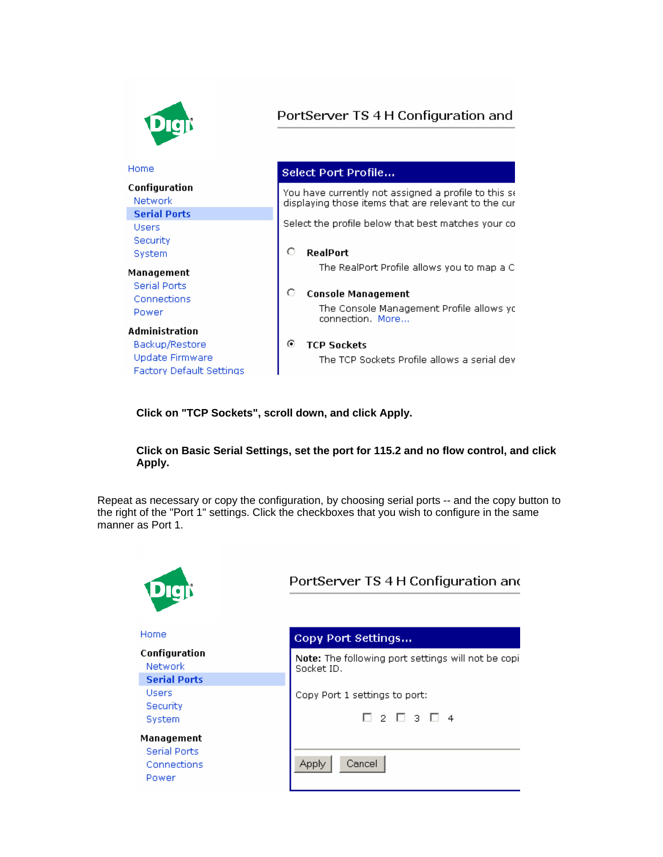

**lick on "TCP Sockets", scroll down, and click Apply. C**

## **lick on Basic Serial Settings, set the port for 115.2 and no flow control, and click C Apply.**

Repeat as necessary or copy the configuration, by choosing serial ports -- and the copy button to the right of the "Port 1" settings. Click the checkboxes that you wish to configure in the same manner as Port 1.

| Digji                                                     | PortServer TS 4 H Configuration and                                         |
|-----------------------------------------------------------|-----------------------------------------------------------------------------|
| Home                                                      | Copy Port Settings                                                          |
| Configuration<br>Network                                  | Note: The following port settings will not be copi<br>Socket ID.            |
| <b>Serial Ports</b><br>Users<br>Security<br>System        | Copy Port 1 settings to port:<br>$\Box$ 2 $\Box$ 3 $\Box$<br>$\overline{4}$ |
| Management<br><b>Serial Ports</b><br>Connections<br>Power | Cancel<br>Apply                                                             |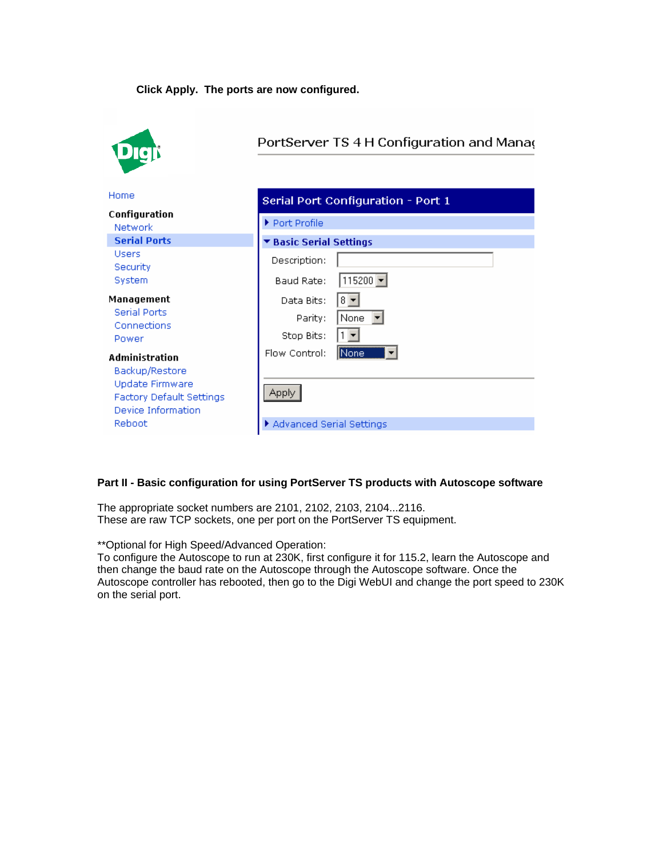## **Click Apply. The ports are now configured.**



# PortServer TS 4 H Configuration and Manag

| Home                                                                                                 | Serial Port Configuration - Port 1                                            |  |  |
|------------------------------------------------------------------------------------------------------|-------------------------------------------------------------------------------|--|--|
| Configuration<br><b>Network</b>                                                                      | Port Profile                                                                  |  |  |
| <b>Serial Ports</b>                                                                                  | <b>Basic Serial Settings</b>                                                  |  |  |
| <b>Users</b><br>Security<br>System                                                                   | Description:<br>115200 $\overline{ }$<br>Baud Rate:                           |  |  |
| Management<br><b>Serial Ports</b><br>Connections<br>Power<br>Administration                          | Data Bits:<br>$8 -$<br>None<br>Parity:<br>Stop Bits:<br>None<br>Flow Control: |  |  |
| Backup/Restore<br>Update Firmware<br><b>Factory Default Settings</b><br>Device Information<br>Reboot | Apply<br>Advanced Serial Settings                                             |  |  |

## **art II - Basic configuration for using PortServer TS products with Autoscope software P**

The appropriate socket numbers are 2101, 2102, 2103, 2104...2116. These are raw TCP sockets, one per port on the PortServer TS equipment.

\*\* Optional for High Speed/Advanced Operation:

To configure the Autoscope to run at 230K, first configure it for 115.2, learn the Autoscope and Autoscope controller has rebooted, then go to the Digi WebUI and change the port speed to 230K then change the baud rate on the Autoscope through the Autoscope software. Once the on the serial port.